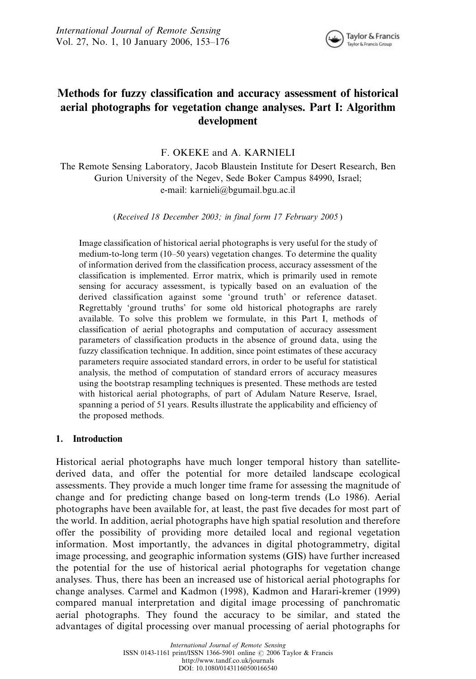

# Methods for fuzzy classification and accuracy assessment of historical aerial photographs for vegetation change analyses. Part I: Algorithm development

F. OKEKE and A. KARNIELI

The Remote Sensing Laboratory, Jacob Blaustein Institute for Desert Research, Ben Gurion University of the Negev, Sede Boker Campus 84990, Israel; e-mail: karnieli@bgumail.bgu.ac.il

(Received 18 December 2003; in final form 17 February 2005 )

Image classification of historical aerial photographs is very useful for the study of medium-to-long term (10–50 years) vegetation changes. To determine the quality of information derived from the classification process, accuracy assessment of the classification is implemented. Error matrix, which is primarily used in remote sensing for accuracy assessment, is typically based on an evaluation of the derived classification against some 'ground truth' or reference dataset. Regrettably 'ground truths' for some old historical photographs are rarely available. To solve this problem we formulate, in this Part I, methods of classification of aerial photographs and computation of accuracy assessment parameters of classification products in the absence of ground data, using the fuzzy classification technique. In addition, since point estimates of these accuracy parameters require associated standard errors, in order to be useful for statistical analysis, the method of computation of standard errors of accuracy measures using the bootstrap resampling techniques is presented. These methods are tested with historical aerial photographs, of part of Adulam Nature Reserve, Israel, spanning a period of 51 years. Results illustrate the applicability and efficiency of the proposed methods.

## 1. Introduction

Historical aerial photographs have much longer temporal history than satellitederived data, and offer the potential for more detailed landscape ecological assessments. They provide a much longer time frame for assessing the magnitude of change and for predicting change based on long-term trends (Lo 1986). Aerial photographs have been available for, at least, the past five decades for most part of the world. In addition, aerial photographs have high spatial resolution and therefore offer the possibility of providing more detailed local and regional vegetation information. Most importantly, the advances in digital photogrammetry, digital image processing, and geographic information systems (GIS) have further increased the potential for the use of historical aerial photographs for vegetation change analyses. Thus, there has been an increased use of historical aerial photographs for change analyses. Carmel and Kadmon (1998), Kadmon and Harari-kremer (1999) compared manual interpretation and digital image processing of panchromatic aerial photographs. They found the accuracy to be similar, and stated the advantages of digital processing over manual processing of aerial photographs for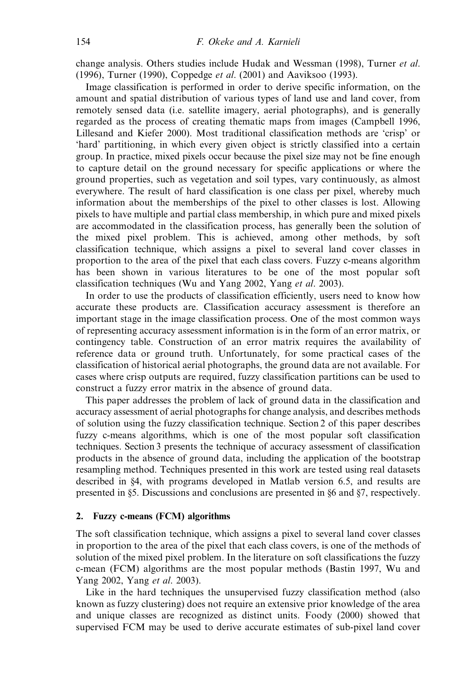change analysis. Others studies include Hudak and Wessman (1998), Turner et al. (1996), Turner (1990), Coppedge et al. (2001) and Aaviksoo (1993).

Image classification is performed in order to derive specific information, on the amount and spatial distribution of various types of land use and land cover, from remotely sensed data (i.e. satellite imagery, aerial photographs), and is generally regarded as the process of creating thematic maps from images (Campbell 1996, Lillesand and Kiefer 2000). Most traditional classification methods are 'crisp' or 'hard' partitioning, in which every given object is strictly classified into a certain group. In practice, mixed pixels occur because the pixel size may not be fine enough to capture detail on the ground necessary for specific applications or where the ground properties, such as vegetation and soil types, vary continuously, as almost everywhere. The result of hard classification is one class per pixel, whereby much information about the memberships of the pixel to other classes is lost. Allowing pixels to have multiple and partial class membership, in which pure and mixed pixels are accommodated in the classification process, has generally been the solution of the mixed pixel problem. This is achieved, among other methods, by soft classification technique, which assigns a pixel to several land cover classes in proportion to the area of the pixel that each class covers. Fuzzy c-means algorithm has been shown in various literatures to be one of the most popular soft classification techniques (Wu and Yang 2002, Yang et al. 2003).

In order to use the products of classification efficiently, users need to know how accurate these products are. Classification accuracy assessment is therefore an important stage in the image classification process. One of the most common ways of representing accuracy assessment information is in the form of an error matrix, or contingency table. Construction of an error matrix requires the availability of reference data or ground truth. Unfortunately, for some practical cases of the classification of historical aerial photographs, the ground data are not available. For cases where crisp outputs are required, fuzzy classification partitions can be used to construct a fuzzy error matrix in the absence of ground data.

This paper addresses the problem of lack of ground data in the classification and accuracy assessment of aerial photographs for change analysis, and describes methods of solution using the fuzzy classification technique. Section 2 of this paper describes fuzzy c-means algorithms, which is one of the most popular soft classification techniques. Section 3 presents the technique of accuracy assessment of classification products in the absence of ground data, including the application of the bootstrap resampling method. Techniques presented in this work are tested using real datasets described in §4, with programs developed in Matlab version 6.5, and results are presented in §5. Discussions and conclusions are presented in §6 and §7, respectively.

### 2. Fuzzy c-means (FCM) algorithms

The soft classification technique, which assigns a pixel to several land cover classes in proportion to the area of the pixel that each class covers, is one of the methods of solution of the mixed pixel problem. In the literature on soft classifications the fuzzy c-mean (FCM) algorithms are the most popular methods (Bastin 1997, Wu and Yang 2002, Yang et al. 2003).

Like in the hard techniques the unsupervised fuzzy classification method (also known as fuzzy clustering) does not require an extensive prior knowledge of the area and unique classes are recognized as distinct units. Foody (2000) showed that supervised FCM may be used to derive accurate estimates of sub-pixel land cover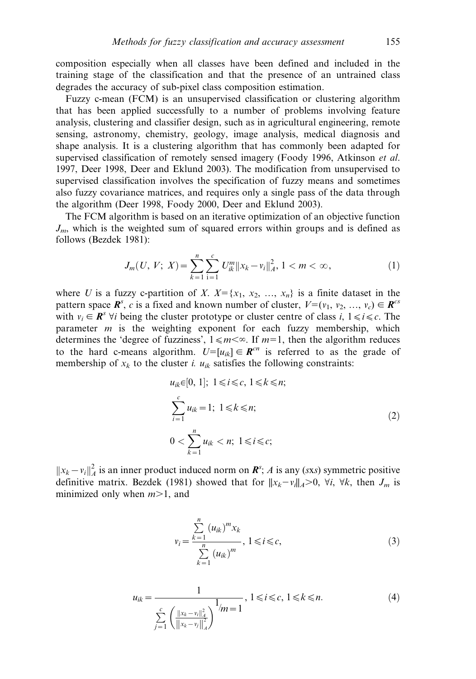composition especially when all classes have been defined and included in the training stage of the classification and that the presence of an untrained class degrades the accuracy of sub-pixel class composition estimation.

Fuzzy c-mean (FCM) is an unsupervised classification or clustering algorithm that has been applied successfully to a number of problems involving feature analysis, clustering and classifier design, such as in agricultural engineering, remote sensing, astronomy, chemistry, geology, image analysis, medical diagnosis and shape analysis. It is a clustering algorithm that has commonly been adapted for supervised classification of remotely sensed imagery (Foody 1996, Atkinson et al. 1997, Deer 1998, Deer and Eklund 2003). The modification from unsupervised to supervised classification involves the specification of fuzzy means and sometimes also fuzzy covariance matrices, and requires only a single pass of the data through the algorithm (Deer 1998, Foody 2000, Deer and Eklund 2003).

The FCM algorithm is based on an iterative optimization of an objective function  $J_m$ , which is the weighted sum of squared errors within groups and is defined as follows (Bezdek 1981):

$$
J_m(U, V; X) = \sum_{k=1}^n \sum_{i=1}^c U_{ik}^m ||x_k - v_i||_A^2, 1 < m < \infty,
$$
 (1)

where U is a fuzzy c-partition of X.  $X = \{x_1, x_2, ..., x_n\}$  is a finite dataset in the pattern space  $\mathbf{R}^s$ , c is a fixed and known number of cluster,  $V=(v_1, v_2, ..., v_c) \in \mathbf{R}^{cs}$ with  $v_i \in \mathbb{R}^s$   $\forall i$  being the cluster prototype or cluster centre of class i,  $1 \le i \le c$ . The parameter  $m$  is the weighting exponent for each fuzzy membership, which determines the 'degree of fuzziness',  $1 \le m \le \infty$ . If  $m=1$ , then the algorithm reduces to the hard c-means algorithm.  $U=[u_{ik}] \in \mathbb{R}^{cn}$  is referred to as the grade of membership of  $x_k$  to the cluster i.  $u_{ik}$  satisfies the following constraints:

$$
u_{ik} \in [0, 1]; \ 1 \le i \le c, \ 1 \le k \le n;
$$
  

$$
\sum_{i=1}^{c} u_{ik} = 1; \ 1 \le k \le n;
$$
  

$$
0 < \sum_{k=1}^{n} u_{ik} < n; \ 1 \le i \le c;
$$
  

$$
(2)
$$

 $||x_k - v_i||_A^2$  is an inner product induced norm on  $\mathbf{R}^s$ ; A is any (sxs) symmetric positive definitive matrix. Bezdek (1981) showed that for  $||x_k-v_i||_A>0$ ,  $\forall i$ ,  $\forall k$ , then  $J_m$  is minimized only when  $m>1$ , and

$$
v_{i} = \frac{\sum_{k=1}^{n} (u_{ik})^{m} x_{k}}{\sum_{k=1}^{n} (u_{ik})^{m}}, 1 \leq i \leq c,
$$
 (3)

$$
u_{ik} = \frac{1}{\sum_{j=1}^{c} \left( \frac{\|x_k - v_j\|_A^2}{\|x_k - v_j\|_A^2} \right)^{1} / m} = 1, \ 1 \le i \le c, \ 1 \le k \le n. \tag{4}
$$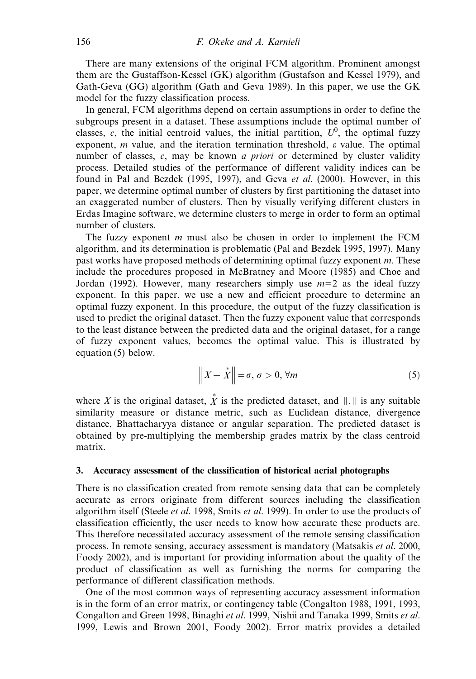There are many extensions of the original FCM algorithm. Prominent amongst them are the Gustaffson-Kessel (GK) algorithm (Gustafson and Kessel 1979), and Gath-Geva (GG) algorithm (Gath and Geva 1989). In this paper, we use the GK model for the fuzzy classification process.

In general, FCM algorithms depend on certain assumptions in order to define the subgroups present in a dataset. These assumptions include the optimal number of classes, c, the initial centroid values, the initial partition,  $U^0$ , the optimal fuzzy exponent, m value, and the iteration termination threshold,  $\varepsilon$  value. The optimal number of classes, c, may be known *a priori* or determined by cluster validity process. Detailed studies of the performance of different validity indices can be found in Pal and Bezdek (1995, 1997), and Geva et al. (2000). However, in this paper, we determine optimal number of clusters by first partitioning the dataset into an exaggerated number of clusters. Then by visually verifying different clusters in Erdas Imagine software, we determine clusters to merge in order to form an optimal number of clusters.

The fuzzy exponent  $m$  must also be chosen in order to implement the FCM algorithm, and its determination is problematic (Pal and Bezdek 1995, 1997). Many past works have proposed methods of determining optimal fuzzy exponent m. These include the procedures proposed in McBratney and Moore (1985) and Choe and Jordan (1992). However, many researchers simply use  $m=2$  as the ideal fuzzy exponent. In this paper, we use a new and efficient procedure to determine an optimal fuzzy exponent. In this procedure, the output of the fuzzy classification is used to predict the original dataset. Then the fuzzy exponent value that corresponds to the least distance between the predicted data and the original dataset, for a range of fuzzy exponent values, becomes the optimal value. This is illustrated by equation (5) below.

$$
\left\|X - \stackrel{*}{X}\right\| = \sigma, \ \sigma > 0, \ \forall m \tag{5}
$$

where X is the original dataset,  $\stackrel{*}{X}$  is the predicted dataset, and  $|| \cdot ||$  is any suitable similarity measure or distance metric, such as Euclidean distance, divergence distance, Bhattacharyya distance or angular separation. The predicted dataset is obtained by pre-multiplying the membership grades matrix by the class centroid matrix.

### 3. Accuracy assessment of the classification of historical aerial photographs

There is no classification created from remote sensing data that can be completely accurate as errors originate from different sources including the classification algorithm itself (Steele et al. 1998, Smits et al. 1999). In order to use the products of classification efficiently, the user needs to know how accurate these products are. This therefore necessitated accuracy assessment of the remote sensing classification process. In remote sensing, accuracy assessment is mandatory (Matsakis et al. 2000, Foody 2002), and is important for providing information about the quality of the product of classification as well as furnishing the norms for comparing the performance of different classification methods.

One of the most common ways of representing accuracy assessment information is in the form of an error matrix, or contingency table (Congalton 1988, 1991, 1993, Congalton and Green 1998, Binaghi et al. 1999, Nishii and Tanaka 1999, Smits et al. 1999, Lewis and Brown 2001, Foody 2002). Error matrix provides a detailed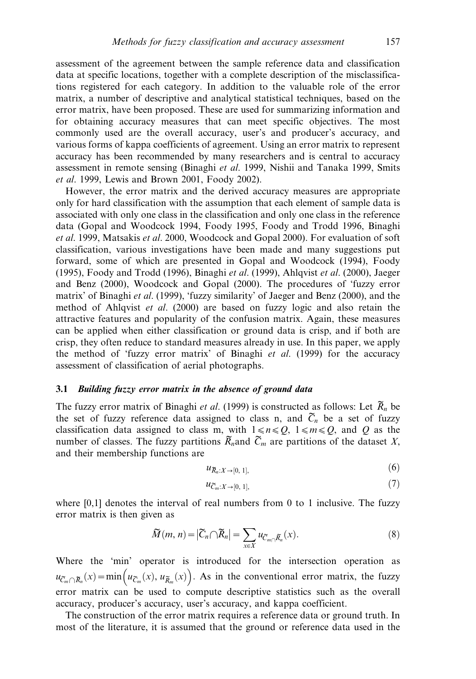assessment of the agreement between the sample reference data and classification data at specific locations, together with a complete description of the misclassifications registered for each category. In addition to the valuable role of the error matrix, a number of descriptive and analytical statistical techniques, based on the error matrix, have been proposed. These are used for summarizing information and for obtaining accuracy measures that can meet specific objectives. The most commonly used are the overall accuracy, user's and producer's accuracy, and various forms of kappa coefficients of agreement. Using an error matrix to represent accuracy has been recommended by many researchers and is central to accuracy assessment in remote sensing (Binaghi et al. 1999, Nishii and Tanaka 1999, Smits et al. 1999, Lewis and Brown 2001, Foody 2002).

However, the error matrix and the derived accuracy measures are appropriate only for hard classification with the assumption that each element of sample data is associated with only one class in the classification and only one class in the reference data (Gopal and Woodcock 1994, Foody 1995, Foody and Trodd 1996, Binaghi et al. 1999, Matsakis et al. 2000, Woodcock and Gopal 2000). For evaluation of soft classification, various investigations have been made and many suggestions put forward, some of which are presented in Gopal and Woodcock (1994), Foody (1995), Foody and Trodd (1996), Binaghi et al. (1999), Ahlqvist et al. (2000), Jaeger and Benz (2000), Woodcock and Gopal (2000). The procedures of 'fuzzy error matrix' of Binaghi *et al.* (1999), 'fuzzy similarity' of Jaeger and Benz (2000), and the method of Ahlqvist et al. (2000) are based on fuzzy logic and also retain the attractive features and popularity of the confusion matrix. Again, these measures can be applied when either classification or ground data is crisp, and if both are crisp, they often reduce to standard measures already in use. In this paper, we apply the method of 'fuzzy error matrix' of Binaghi et al. (1999) for the accuracy assessment of classification of aerial photographs.

#### 3.1 Building fuzzy error matrix in the absence of ground data

The fuzzy error matrix of Binaghi et al. (1999) is constructed as follows: Let  $\widetilde{R}_n$  be the set of fuzzy reference data assigned to class n, and  $\tilde{C}_n$  be a set of fuzzy classification data assigned to class m, with  $1 \le n \le Q$ ,  $1 \le m \le Q$ , and Q as the number of classes. The fuzzy partitions  $\widetilde{R}_n$  and  $\widetilde{C}_m$  are partitions of the dataset X, and their membership functions are

$$
u_{\mathcal{R}_n:X\to[0,\,1],}\tag{6}
$$

$$
u_{\widetilde{C}_m:X\to[0,\,1],} \tag{7}
$$

where  $[0,1]$  denotes the interval of real numbers from 0 to 1 inclusive. The fuzzy error matrix is then given as

$$
\widetilde{M}(m,n) = |\widetilde{C}_n \cap \widetilde{R}_n| = \sum_{x \in X} u_{\widetilde{C}_m \cap \widetilde{R}_n}(x).
$$
\n(8)

Where the 'min' operator is introduced for the intersection operation as  $u_{\tilde{C}_m \cap \tilde{R}_n}(x) = \min\left(u_{\tilde{C}_m}(x), u_{\tilde{R}_m}(x)\right)$ . As in the conventional error matrix, the fuzzy error matrix can be used to compute descriptive statistics such as the overall accuracy, producer's accuracy, user's accuracy, and kappa coefficient.

The construction of the error matrix requires a reference data or ground truth. In most of the literature, it is assumed that the ground or reference data used in the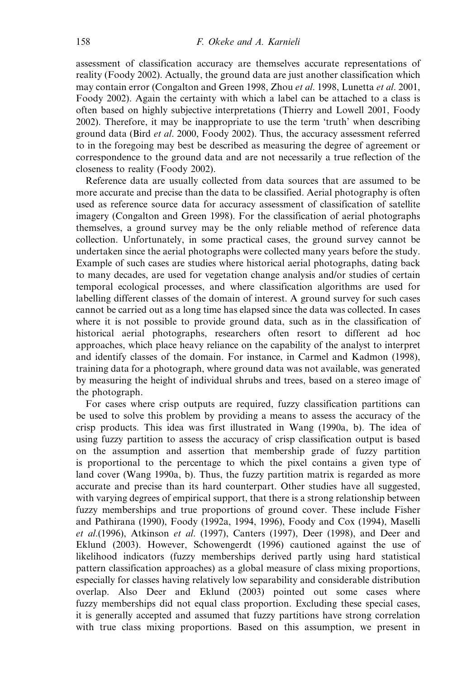assessment of classification accuracy are themselves accurate representations of reality (Foody 2002). Actually, the ground data are just another classification which may contain error (Congalton and Green 1998, Zhou et al. 1998, Lunetta et al. 2001, Foody 2002). Again the certainty with which a label can be attached to a class is often based on highly subjective interpretations (Thierry and Lowell 2001, Foody 2002). Therefore, it may be inappropriate to use the term 'truth' when describing ground data (Bird et al. 2000, Foody 2002). Thus, the accuracy assessment referred to in the foregoing may best be described as measuring the degree of agreement or correspondence to the ground data and are not necessarily a true reflection of the closeness to reality (Foody 2002).

Reference data are usually collected from data sources that are assumed to be more accurate and precise than the data to be classified. Aerial photography is often used as reference source data for accuracy assessment of classification of satellite imagery (Congalton and Green 1998). For the classification of aerial photographs themselves, a ground survey may be the only reliable method of reference data collection. Unfortunately, in some practical cases, the ground survey cannot be undertaken since the aerial photographs were collected many years before the study. Example of such cases are studies where historical aerial photographs, dating back to many decades, are used for vegetation change analysis and/or studies of certain temporal ecological processes, and where classification algorithms are used for labelling different classes of the domain of interest. A ground survey for such cases cannot be carried out as a long time has elapsed since the data was collected. In cases where it is not possible to provide ground data, such as in the classification of historical aerial photographs, researchers often resort to different ad hoc approaches, which place heavy reliance on the capability of the analyst to interpret and identify classes of the domain. For instance, in Carmel and Kadmon (1998), training data for a photograph, where ground data was not available, was generated by measuring the height of individual shrubs and trees, based on a stereo image of the photograph.

For cases where crisp outputs are required, fuzzy classification partitions can be used to solve this problem by providing a means to assess the accuracy of the crisp products. This idea was first illustrated in Wang (1990a, b). The idea of using fuzzy partition to assess the accuracy of crisp classification output is based on the assumption and assertion that membership grade of fuzzy partition is proportional to the percentage to which the pixel contains a given type of land cover (Wang 1990a, b). Thus, the fuzzy partition matrix is regarded as more accurate and precise than its hard counterpart. Other studies have all suggested, with varying degrees of empirical support, that there is a strong relationship between fuzzy memberships and true proportions of ground cover. These include Fisher and Pathirana (1990), Foody (1992a, 1994, 1996), Foody and Cox (1994), Maselli et al.  $(1996)$ , Atkinson et al.  $(1997)$ , Canters  $(1997)$ , Deer  $(1998)$ , and Deer and Eklund (2003). However, Schowengerdt (1996) cautioned against the use of likelihood indicators (fuzzy memberships derived partly using hard statistical pattern classification approaches) as a global measure of class mixing proportions, especially for classes having relatively low separability and considerable distribution overlap. Also Deer and Eklund (2003) pointed out some cases where fuzzy memberships did not equal class proportion. Excluding these special cases, it is generally accepted and assumed that fuzzy partitions have strong correlation with true class mixing proportions. Based on this assumption, we present in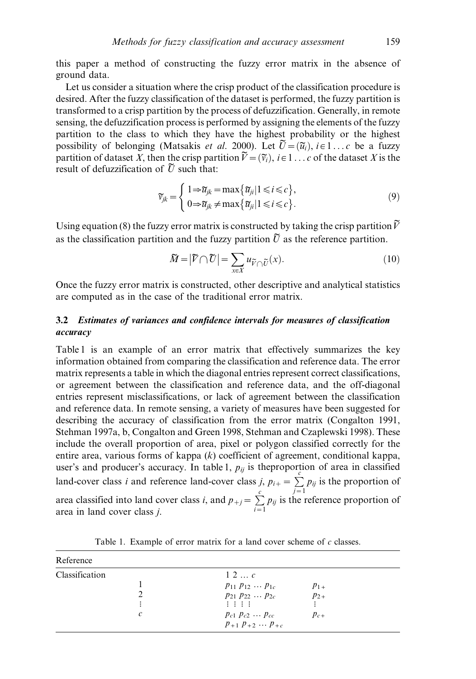this paper a method of constructing the fuzzy error matrix in the absence of ground data.

Let us consider a situation where the crisp product of the classification procedure is desired. After the fuzzy classification of the dataset is performed, the fuzzy partition is transformed to a crisp partition by the process of defuzzification. Generally, in remote sensing, the defuzzification process is performed by assigning the elements of the fuzzy partition to the class to which they have the highest probability or the highest possibility of belonging (Matsakis *et al.* 2000). Let  $\tilde{U} = (\tilde{u}_i)$ ,  $i \in 1 ... c$  be a fuzzy partition of dataset X, then the crisp partition  $\widetilde{V} = (\widetilde{v}_i)$ ,  $i \in 1...$  c of the dataset X is the result of defuzzification of  $\tilde{U}$  such that:

$$
\widetilde{\nu}_{jk} = \begin{cases}\n1 \Rightarrow \widetilde{u}_{jk} = \max\{\widetilde{u}_{ji} | 1 \leq i \leq c\}, \\
0 \Rightarrow \widetilde{u}_{jk} \neq \max\{\widetilde{u}_{ji} | 1 \leq i \leq c\}.\n\end{cases} \tag{9}
$$

Using equation (8) the fuzzy error matrix is constructed by taking the crisp partition  $\tilde{V}$ as the classification partition and the fuzzy partition  $\tilde{U}$  as the reference partition.

$$
\widetilde{M} = |\widetilde{V} \cap \widetilde{U}| = \sum_{x \in X} u_{\widetilde{V} \cap \widetilde{U}}(x). \tag{10}
$$

Once the fuzzy error matrix is constructed, other descriptive and analytical statistics are computed as in the case of the traditional error matrix.

# 3.2 Estimates of variances and confidence intervals for measures of classification accuracy

Table 1 is an example of an error matrix that effectively summarizes the key information obtained from comparing the classification and reference data. The error matrix represents a table in which the diagonal entries represent correct classifications, or agreement between the classification and reference data, and the off-diagonal entries represent misclassifications, or lack of agreement between the classification and reference data. In remote sensing, a variety of measures have been suggested for describing the accuracy of classification from the error matrix (Congalton 1991, Stehman 1997a, b, Congalton and Green 1998, Stehman and Czaplewski 1998). These include the overall proportion of area, pixel or polygon classified correctly for the entire area, various forms of kappa  $(k)$  coefficient of agreement, conditional kappa, user's and producer's accuracy. In table 1,  $p_{ij}$  is the proportion of area in classified land-cover class *i* and reference land-cover class *j*,  $p_{ij} = \sum p_{ij}$  is the proportion of area classified into land cover class *i*, and  $p_{+j} = \sum_{i=1}^{c} p_{ij}$  is the reference proportion of area in land cover class j.

| Reference           |                                                                                                                                                        |                                  |  |
|---------------------|--------------------------------------------------------------------------------------------------------------------------------------------------------|----------------------------------|--|
| Classification<br>C | $1\ 2\  \ c$<br>$p_{11} p_{12} \dots p_{1c}$<br>$p_{21} p_{22} \ldots p_{2c}$<br>主要主要<br>$p_{c1} p_{c2} \ldots p_{cc}$<br>$p_{+1} p_{+2} \dots p_{+c}$ | $p_{1+}$<br>$p_{2+}$<br>$p_{c+}$ |  |

Table 1. Example of error matrix for a land cover scheme of  $c$  classes.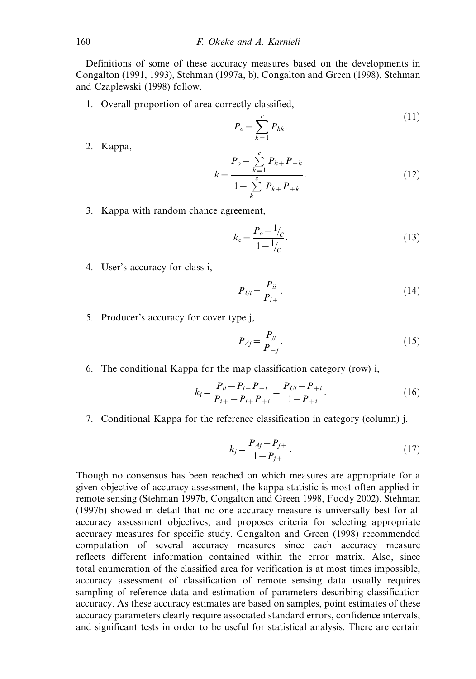Definitions of some of these accuracy measures based on the developments in Congalton (1991, 1993), Stehman (1997a, b), Congalton and Green (1998), Stehman and Czaplewski (1998) follow.

1. Overall proportion of area correctly classified,

$$
P_o = \sum_{k=1}^{c} P_{kk}.\tag{11}
$$

2. Kappa,

$$
k = \frac{P_o - \sum_{k=1}^{c} P_{k+} P_{+k}}{1 - \sum_{k=1}^{c} P_{k+} P_{+k}}.
$$
\n(12)

3. Kappa with random chance agreement,

$$
k_e = \frac{P_o - \frac{1}{c}}{1 - \frac{1}{c}}.
$$
\n(13)

4. User's accuracy for class i,

$$
P_{Ui} = \frac{P_{ii}}{P_{i+}}.\tag{14}
$$

5. Producer's accuracy for cover type j,

$$
P_{Aj} = \frac{P_{jj}}{P_{+j}}.\tag{15}
$$

6. The conditional Kappa for the map classification category (row) i,

$$
k_i = \frac{P_{ii} - P_{i+}P_{+i}}{P_{i+} - P_{i+}P_{+i}} = \frac{P_{Ui} - P_{+i}}{1 - P_{+i}}.
$$
\n(16)

7. Conditional Kappa for the reference classification in category (column) j,

$$
k_j = \frac{P_{Aj} - P_{j+}}{1 - P_{j+}}.\tag{17}
$$

Though no consensus has been reached on which measures are appropriate for a given objective of accuracy assessment, the kappa statistic is most often applied in remote sensing (Stehman 1997b, Congalton and Green 1998, Foody 2002). Stehman (1997b) showed in detail that no one accuracy measure is universally best for all accuracy assessment objectives, and proposes criteria for selecting appropriate accuracy measures for specific study. Congalton and Green (1998) recommended computation of several accuracy measures since each accuracy measure reflects different information contained within the error matrix. Also, since total enumeration of the classified area for verification is at most times impossible, accuracy assessment of classification of remote sensing data usually requires sampling of reference data and estimation of parameters describing classification accuracy. As these accuracy estimates are based on samples, point estimates of these accuracy parameters clearly require associated standard errors, confidence intervals, and significant tests in order to be useful for statistical analysis. There are certain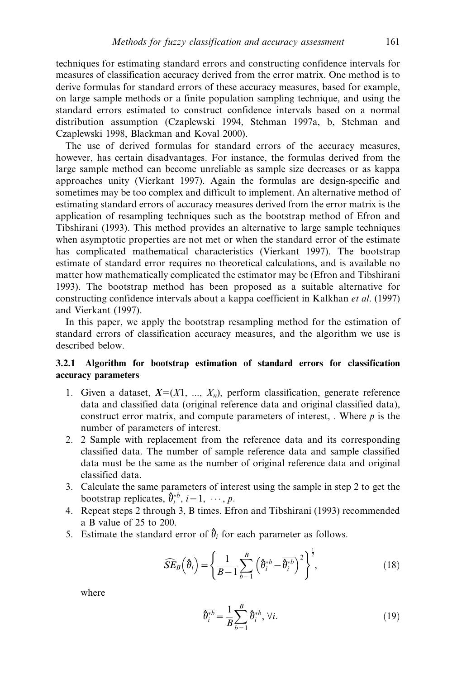techniques for estimating standard errors and constructing confidence intervals for measures of classification accuracy derived from the error matrix. One method is to derive formulas for standard errors of these accuracy measures, based for example, on large sample methods or a finite population sampling technique, and using the standard errors estimated to construct confidence intervals based on a normal distribution assumption (Czaplewski 1994, Stehman 1997a, b, Stehman and Czaplewski 1998, Blackman and Koval 2000).

The use of derived formulas for standard errors of the accuracy measures, however, has certain disadvantages. For instance, the formulas derived from the large sample method can become unreliable as sample size decreases or as kappa approaches unity (Vierkant 1997). Again the formulas are design-specific and sometimes may be too complex and difficult to implement. An alternative method of estimating standard errors of accuracy measures derived from the error matrix is the application of resampling techniques such as the bootstrap method of Efron and Tibshirani (1993). This method provides an alternative to large sample techniques when asymptotic properties are not met or when the standard error of the estimate has complicated mathematical characteristics (Vierkant 1997). The bootstrap estimate of standard error requires no theoretical calculations, and is available no matter how mathematically complicated the estimator may be (Efron and Tibshirani 1993). The bootstrap method has been proposed as a suitable alternative for constructing confidence intervals about a kappa coefficient in Kalkhan *et al.* (1997) and Vierkant (1997).

In this paper, we apply the bootstrap resampling method for the estimation of standard errors of classification accuracy measures, and the algorithm we use is described below.

# 3.2.1 Algorithm for bootstrap estimation of standard errors for classification accuracy parameters

- 1. Given a dataset,  $X=(X1, ..., X_n)$ , perform classification, generate reference data and classified data (original reference data and original classified data), construct error matrix, and compute parameters of interest, . Where  $p$  is the number of parameters of interest.
- 2. 2 Sample with replacement from the reference data and its corresponding classified data. The number of sample reference data and sample classified data must be the same as the number of original reference data and original classified data.
- 3. Calculate the same parameters of interest using the sample in step 2 to get the bootstrap replicates,  $\hat{\theta}_i^{*b}$ ,  $i = 1, \dots, p$ .
- 4. Repeat steps 2 through 3, B times. Efron and Tibshirani (1993) recommended a B value of 25 to 200.
- 5. Estimate the standard error of  $\hat{\theta}_i$  for each parameter as follows.

$$
\widehat{SE}_B\left(\hat{\theta}_i\right) = \left\{\frac{1}{B-1} \sum_{b=1}^{B} \left(\hat{\theta}_i^{*b} - \overline{\hat{\theta}_i^{*b}}\right)^2\right\}^{\frac{1}{2}},\tag{18}
$$

where

$$
\overline{\theta_i^{*b}} = \frac{1}{B} \sum_{b=1}^{B} \hat{\theta}_i^{*b}, \forall i.
$$
 (19)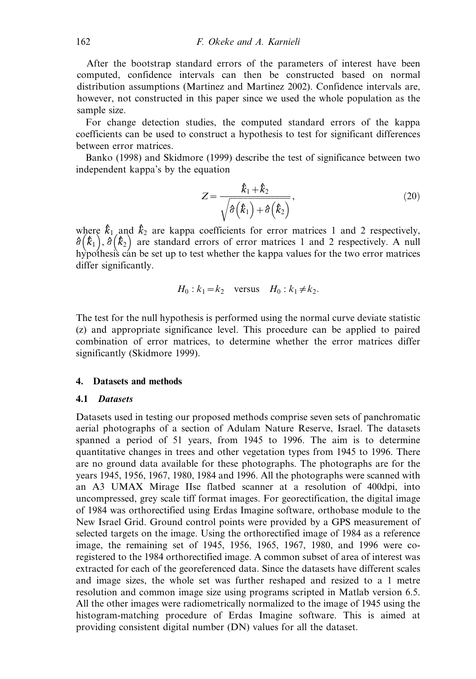After the bootstrap standard errors of the parameters of interest have been computed, confidence intervals can then be constructed based on normal distribution assumptions (Martinez and Martinez 2002). Confidence intervals are, however, not constructed in this paper since we used the whole population as the sample size.

For change detection studies, the computed standard errors of the kappa coefficients can be used to construct a hypothesis to test for significant differences between error matrices.

Banko (1998) and Skidmore (1999) describe the test of significance between two independent kappa's by the equation

$$
Z = \frac{\hat{k}_1 + \hat{k}_2}{\sqrt{\hat{\sigma}(\hat{k}_1) + \hat{\sigma}(\hat{k}_2)}},
$$
\n(20)

where  $\hat{k}_1$  and  $\hat{k}_2$  are kappa coefficients for error matrices 1 and 2 respectively, where  $\kappa_1$  and  $\kappa_2$  are kappa coefficients for error matrices 1 and 2 respectively.<br> $\partial (\hat{k}_1), \partial (\hat{k}_2)$  are standard errors of error matrices 1 and 2 respectively. A null hypothesis can be set up to test whether the kappa values for the two error matrices differ significantly.

$$
H_0: k_1 = k_2 \quad \text{versus} \quad H_0: k_1 \neq k_2.
$$

The test for the null hypothesis is performed using the normal curve deviate statistic (z) and appropriate significance level. This procedure can be applied to paired combination of error matrices, to determine whether the error matrices differ significantly (Skidmore 1999).

### 4. Datasets and methods

#### 4.1 Datasets

Datasets used in testing our proposed methods comprise seven sets of panchromatic aerial photographs of a section of Adulam Nature Reserve, Israel. The datasets spanned a period of 51 years, from 1945 to 1996. The aim is to determine quantitative changes in trees and other vegetation types from 1945 to 1996. There are no ground data available for these photographs. The photographs are for the years 1945, 1956, 1967, 1980, 1984 and 1996. All the photographs were scanned with an A3 UMAX Mirage IIse flatbed scanner at a resolution of 400dpi, into uncompressed, grey scale tiff format images. For georectification, the digital image of 1984 was orthorectified using Erdas Imagine software, orthobase module to the New Israel Grid. Ground control points were provided by a GPS measurement of selected targets on the image. Using the orthorectified image of 1984 as a reference image, the remaining set of 1945, 1956, 1965, 1967, 1980, and 1996 were coregistered to the 1984 orthorectified image. A common subset of area of interest was extracted for each of the georeferenced data. Since the datasets have different scales and image sizes, the whole set was further reshaped and resized to a 1 metre resolution and common image size using programs scripted in Matlab version 6.5. All the other images were radiometrically normalized to the image of 1945 using the histogram-matching procedure of Erdas Imagine software. This is aimed at providing consistent digital number (DN) values for all the dataset.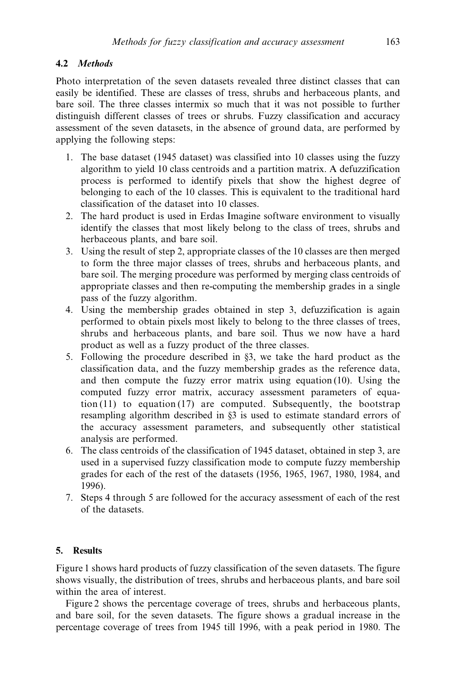# 4.2 Methods

Photo interpretation of the seven datasets revealed three distinct classes that can easily be identified. These are classes of tress, shrubs and herbaceous plants, and bare soil. The three classes intermix so much that it was not possible to further distinguish different classes of trees or shrubs. Fuzzy classification and accuracy assessment of the seven datasets, in the absence of ground data, are performed by applying the following steps:

- 1. The base dataset (1945 dataset) was classified into 10 classes using the fuzzy algorithm to yield 10 class centroids and a partition matrix. A defuzzification process is performed to identify pixels that show the highest degree of belonging to each of the 10 classes. This is equivalent to the traditional hard classification of the dataset into 10 classes.
- 2. The hard product is used in Erdas Imagine software environment to visually identify the classes that most likely belong to the class of trees, shrubs and herbaceous plants, and bare soil.
- 3. Using the result of step 2, appropriate classes of the 10 classes are then merged to form the three major classes of trees, shrubs and herbaceous plants, and bare soil. The merging procedure was performed by merging class centroids of appropriate classes and then re-computing the membership grades in a single pass of the fuzzy algorithm.
- 4. Using the membership grades obtained in step 3, defuzzification is again performed to obtain pixels most likely to belong to the three classes of trees, shrubs and herbaceous plants, and bare soil. Thus we now have a hard product as well as a fuzzy product of the three classes.
- 5. Following the procedure described in §3, we take the hard product as the classification data, and the fuzzy membership grades as the reference data, and then compute the fuzzy error matrix using equation (10). Using the computed fuzzy error matrix, accuracy assessment parameters of equation  $(11)$  to equation  $(17)$  are computed. Subsequently, the bootstrap resampling algorithm described in §3 is used to estimate standard errors of the accuracy assessment parameters, and subsequently other statistical analysis are performed.
- 6. The class centroids of the classification of 1945 dataset, obtained in step 3, are used in a supervised fuzzy classification mode to compute fuzzy membership grades for each of the rest of the datasets (1956, 1965, 1967, 1980, 1984, and 1996).
- 7. Steps 4 through 5 are followed for the accuracy assessment of each of the rest of the datasets.

## 5. Results

Figure 1 shows hard products of fuzzy classification of the seven datasets. The figure shows visually, the distribution of trees, shrubs and herbaceous plants, and bare soil within the area of interest.

Figure 2 shows the percentage coverage of trees, shrubs and herbaceous plants, and bare soil, for the seven datasets. The figure shows a gradual increase in the percentage coverage of trees from 1945 till 1996, with a peak period in 1980. The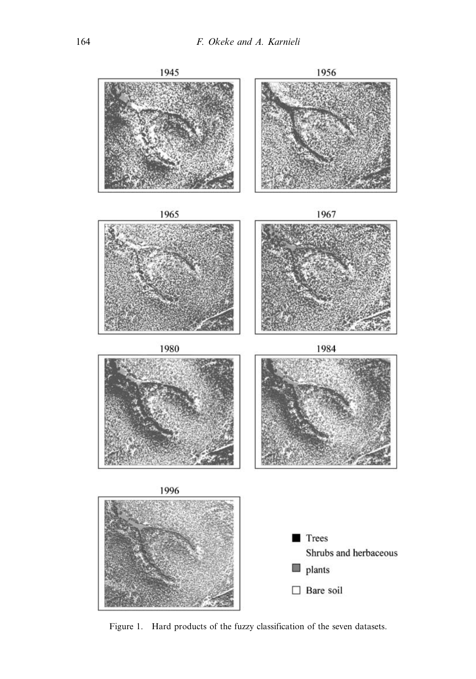

Figure 1. Hard products of the fuzzy classification of the seven datasets.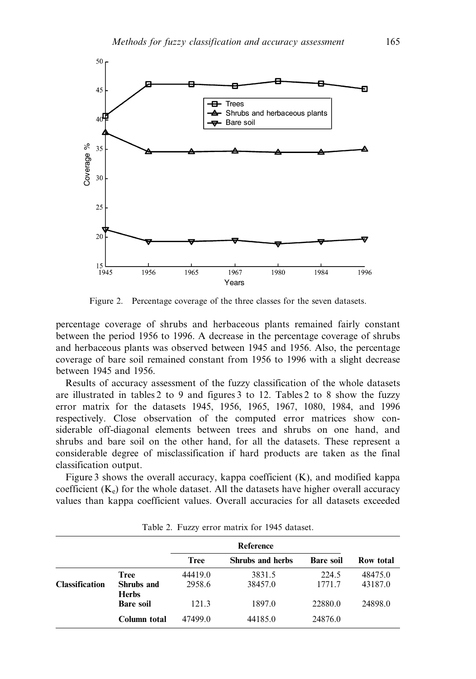

Figure 2. Percentage coverage of the three classes for the seven datasets.

percentage coverage of shrubs and herbaceous plants remained fairly constant between the period 1956 to 1996. A decrease in the percentage coverage of shrubs and herbaceous plants was observed between 1945 and 1956. Also, the percentage coverage of bare soil remained constant from 1956 to 1996 with a slight decrease between 1945 and 1956.

Results of accuracy assessment of the fuzzy classification of the whole datasets are illustrated in tables 2 to 9 and figures 3 to 12. Tables 2 to 8 show the fuzzy error matrix for the datasets 1945, 1956, 1965, 1967, 1080, 1984, and 1996 respectively. Close observation of the computed error matrices show considerable off-diagonal elements between trees and shrubs on one hand, and shrubs and bare soil on the other hand, for all the datasets. These represent a considerable degree of misclassification if hard products are taken as the final classification output.

Figure 3 shows the overall accuracy, kappa coefficient (K), and modified kappa coefficient  $(K_e)$  for the whole dataset. All the datasets have higher overall accuracy values than kappa coefficient values. Overall accuracies for all datasets exceeded

|                       |                                           | Reference         |                   |                  |                    |
|-----------------------|-------------------------------------------|-------------------|-------------------|------------------|--------------------|
|                       |                                           | Tree              | Shrubs and herbs  | <b>Bare soil</b> | Row total          |
| <b>Classification</b> | <b>Tree</b><br>Shrubs and<br><b>Herbs</b> | 44419.0<br>2958.6 | 3831.5<br>38457.0 | 224.5<br>1771.7  | 48475.0<br>43187.0 |
|                       | <b>Bare soil</b>                          | 121.3             | 1897.0            | 22880.0          | 24898.0            |
|                       | Column total                              | 47499.0           | 44185.0           | 24876.0          |                    |

Table 2. Fuzzy error matrix for 1945 dataset.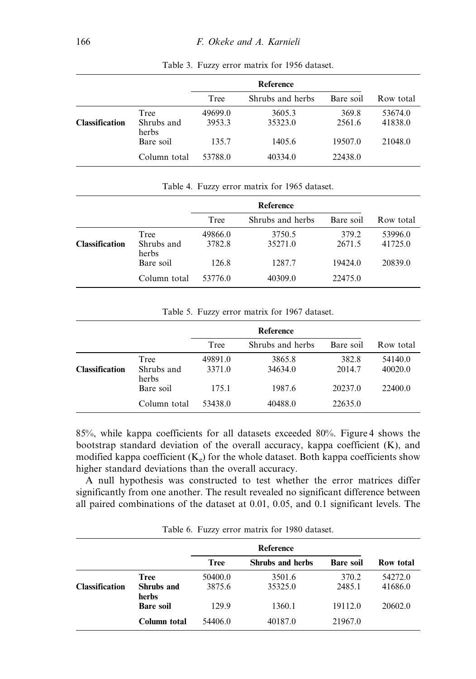|                       |                     | Reference |                  |           |           |
|-----------------------|---------------------|-----------|------------------|-----------|-----------|
|                       |                     | Tree      | Shrubs and herbs | Bare soil | Row total |
|                       | Tree                | 49699.0   | 3605.3           | 369.8     | 53674.0   |
| <b>Classification</b> | Shrubs and<br>herbs | 3953.3    | 35323.0          | 2561.6    | 41838.0   |
|                       | Bare soil           | 135.7     | 1405.6           | 19507.0   | 21048.0   |
|                       | Column total        | 53788.0   | 40334.0          | 22438.0   |           |

Table 3. Fuzzy error matrix for 1956 dataset.

| Table 4. Fuzzy error matrix for 1965 dataset. |                             |                   |                   |                 |                    |
|-----------------------------------------------|-----------------------------|-------------------|-------------------|-----------------|--------------------|
|                                               |                             | Reference         |                   |                 |                    |
|                                               |                             | Tree              | Shrubs and herbs  | Bare soil       | Row total          |
| Classification                                | Tree<br>Shrubs and<br>herbs | 49866.0<br>3782.8 | 3750.5<br>35271.0 | 379.2<br>2671.5 | 53996.0<br>41725.0 |
|                                               | Bare soil                   | 126.8             | 1287.7            | 19424.0         | 20839.0            |
|                                               | Column total                | 53776.0           | 40309.0           | 22475.0         |                    |

Table 5. Fuzzy error matrix for 1967 dataset.

|                     | Reference |                  |           |           |
|---------------------|-----------|------------------|-----------|-----------|
|                     | Tree      | Shrubs and herbs | Bare soil | Row total |
| Tree                | 49891.0   | 3865.8           | 382.8     | 54140.0   |
| Shrubs and<br>herbs | 3371.0    | 34634.0          | 2014.7    | 40020.0   |
| Bare soil           | 175.1     | 1987.6           | 20237.0   | 22400.0   |
| Column total        | 53438.0   | 40488.0          | 22635.0   |           |
|                     |           |                  |           |           |

85%, while kappa coefficients for all datasets exceeded 80%. Figure 4 shows the bootstrap standard deviation of the overall accuracy, kappa coefficient (K), and modified kappa coefficient  $(K_e)$  for the whole dataset. Both kappa coefficients show higher standard deviations than the overall accuracy.

A null hypothesis was constructed to test whether the error matrices differ significantly from one another. The result revealed no significant difference between all paired combinations of the dataset at 0.01, 0.05, and 0.1 significant levels. The

|                       |                           | <b>Reference</b>  |                   |                  |                    |
|-----------------------|---------------------------|-------------------|-------------------|------------------|--------------------|
|                       |                           | <b>Tree</b>       | Shrubs and herbs  | <b>Bare soil</b> | Row total          |
| <b>Classification</b> | <b>Tree</b><br>Shrubs and | 50400.0<br>3875.6 | 3501.6<br>35325.0 | 370.2<br>2485.1  | 54272.0<br>41686.0 |
|                       | herbs<br><b>Bare soil</b> | 129.9             | 1360.1            | 19112.0          | 20602.0            |
|                       | Column total              | 54406.0           | 40187.0           | 21967.0          |                    |

Table 6. Fuzzy error matrix for 1980 dataset.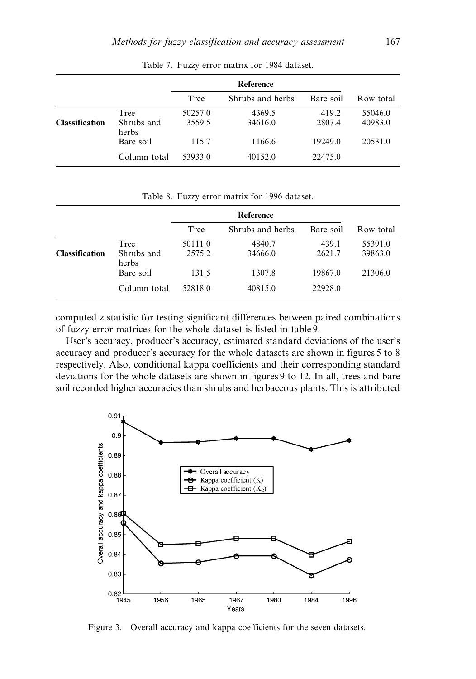|                       |                    | Reference         |                   |                 |                    |
|-----------------------|--------------------|-------------------|-------------------|-----------------|--------------------|
|                       |                    | Tree              | Shrubs and herbs  | Bare soil       | Row total          |
| <b>Classification</b> | Tree<br>Shrubs and | 50257.0<br>3559.5 | 4369.5<br>34616.0 | 419.2<br>2807.4 | 55046.0<br>40983.0 |
|                       | herbs<br>Bare soil | 115.7             | 1166.6            | 19249.0         | 20531.0            |
|                       | Column total       | 53933.0           | 40152.0           | 22475.0         |                    |

Table 7. Fuzzy error matrix for 1984 dataset.

|                      |                             | Tree              | Shrubs and herbs  | Bare soil       | Row total          |
|----------------------|-----------------------------|-------------------|-------------------|-----------------|--------------------|
| <b>lassification</b> | Tree<br>Shrubs and<br>herbs | 50257.0<br>3559.5 | 4369.5<br>34616.0 | 419.2<br>2807.4 | 55046.0<br>40983.0 |
|                      | Bare soil                   | 115.7             | 1166.6            | 19249.0         | 20531.0            |
|                      | Column total                | 53933.0           | 40152.0           | 22475.0         |                    |
|                      |                             |                   |                   |                 |                    |

Table 8. Fuzzy error matrix for 1996 dataset.

|                       |                    | Reference         |                   |                 |                    |
|-----------------------|--------------------|-------------------|-------------------|-----------------|--------------------|
|                       |                    | Tree              | Shrubs and herbs  | Bare soil       | Row total          |
| <b>Classification</b> | Tree<br>Shrubs and | 50111.0<br>2575.2 | 4840.7<br>34666.0 | 439.1<br>2621.7 | 55391.0<br>39863.0 |
|                       | herbs<br>Bare soil | 131.5             | 1307.8            | 19867.0         | 21306.0            |
|                       | Column total       | 52818.0           | 40815.0           | 22928.0         |                    |
|                       |                    |                   |                   |                 |                    |

computed z statistic for testing significant differences between paired combinations of fuzzy error matrices for the whole dataset is listed in table 9.

User's accuracy, producer's accuracy, estimated standard deviations of the user's accuracy and producer's accuracy for the whole datasets are shown in figures 5 to 8 respectively. Also, conditional kappa coefficients and their corresponding standard deviations for the whole datasets are shown in figures 9 to 12. In all, trees and bare soil recorded higher accuracies than shrubs and herbaceous plants. This is attributed



Figure 3. Overall accuracy and kappa coefficients for the seven datasets.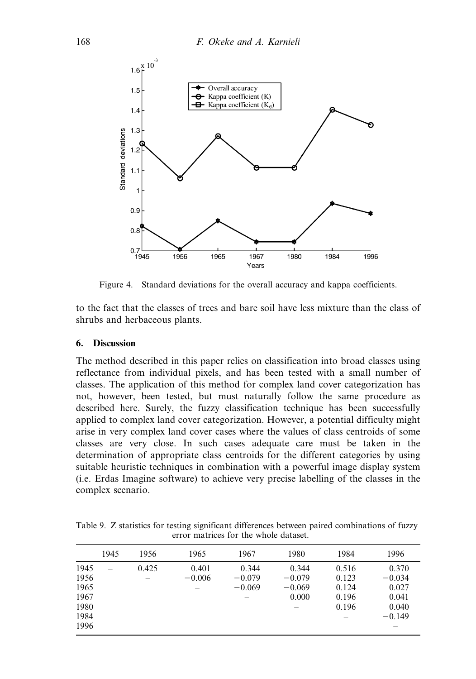

Figure 4. Standard deviations for the overall accuracy and kappa coefficients.

to the fact that the classes of trees and bare soil have less mixture than the class of shrubs and herbaceous plants.

### 6. Discussion

The method described in this paper relies on classification into broad classes using reflectance from individual pixels, and has been tested with a small number of classes. The application of this method for complex land cover categorization has not, however, been tested, but must naturally follow the same procedure as described here. Surely, the fuzzy classification technique has been successfully applied to complex land cover categorization. However, a potential difficulty might arise in very complex land cover cases where the values of class centroids of some classes are very close. In such cases adequate care must be taken in the determination of appropriate class centroids for the different categories by using suitable heuristic techniques in combination with a powerful image display system (i.e. Erdas Imagine software) to achieve very precise labelling of the classes in the complex scenario.

Table 9. Z statistics for testing significant differences between paired combinations of fuzzy error matrices for the whole dataset.

|                                                      | 1945 | 1956  | 1965              | 1967                          | 1980                                   | 1984                                      | 1996                                                     |
|------------------------------------------------------|------|-------|-------------------|-------------------------------|----------------------------------------|-------------------------------------------|----------------------------------------------------------|
| 1945<br>1956<br>1965<br>1967<br>1980<br>1984<br>1996 |      | 0.425 | 0.401<br>$-0.006$ | 0.344<br>$-0.079$<br>$-0.069$ | 0.344<br>$-0.079$<br>$-0.069$<br>0.000 | 0.516<br>0.123<br>0.124<br>0.196<br>0.196 | 0.370<br>$-0.034$<br>0.027<br>0.041<br>0.040<br>$-0.149$ |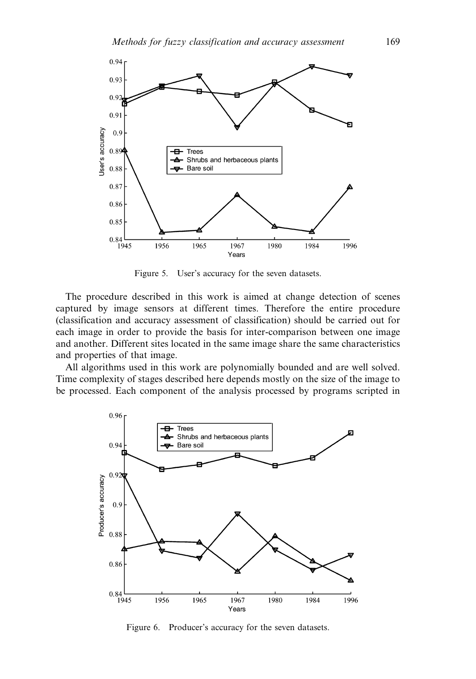

Figure 5. User's accuracy for the seven datasets.

The procedure described in this work is aimed at change detection of scenes captured by image sensors at different times. Therefore the entire procedure (classification and accuracy assessment of classification) should be carried out for each image in order to provide the basis for inter-comparison between one image and another. Different sites located in the same image share the same characteristics and properties of that image.

All algorithms used in this work are polynomially bounded and are well solved. Time complexity of stages described here depends mostly on the size of the image to be processed. Each component of the analysis processed by programs scripted in



Figure 6. Producer's accuracy for the seven datasets.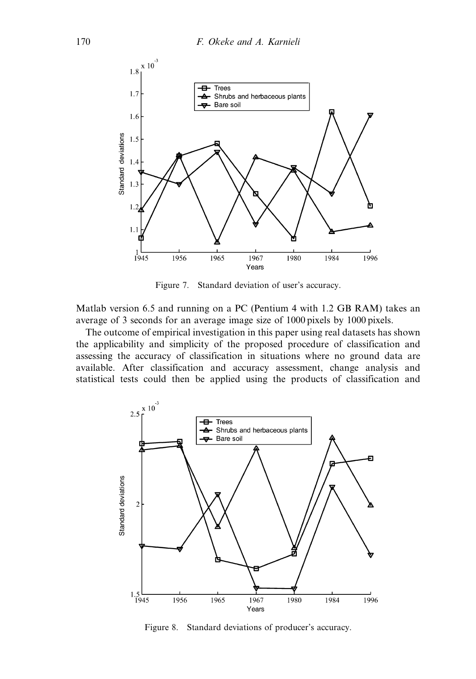

Figure 7. Standard deviation of user's accuracy.

Matlab version 6.5 and running on a PC (Pentium 4 with 1.2 GB RAM) takes an average of 3 seconds for an average image size of 1000 pixels by 1000 pixels.

The outcome of empirical investigation in this paper using real datasets has shown the applicability and simplicity of the proposed procedure of classification and assessing the accuracy of classification in situations where no ground data are available. After classification and accuracy assessment, change analysis and statistical tests could then be applied using the products of classification and



Figure 8. Standard deviations of producer's accuracy.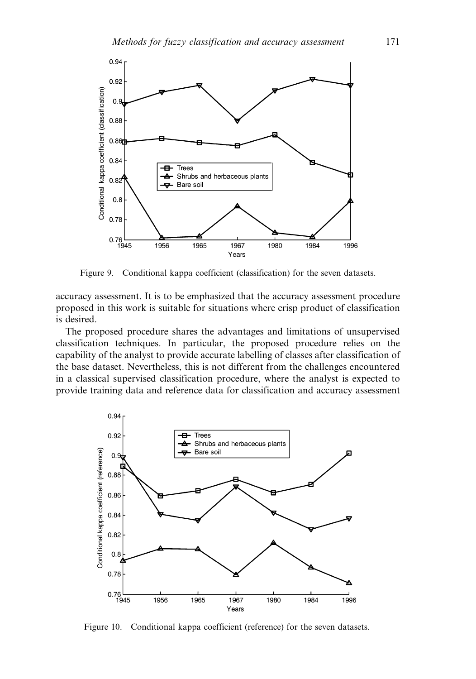

Figure 9. Conditional kappa coefficient (classification) for the seven datasets.

accuracy assessment. It is to be emphasized that the accuracy assessment procedure proposed in this work is suitable for situations where crisp product of classification is desired.

The proposed procedure shares the advantages and limitations of unsupervised classification techniques. In particular, the proposed procedure relies on the capability of the analyst to provide accurate labelling of classes after classification of the base dataset. Nevertheless, this is not different from the challenges encountered in a classical supervised classification procedure, where the analyst is expected to provide training data and reference data for classification and accuracy assessment



Figure 10. Conditional kappa coefficient (reference) for the seven datasets.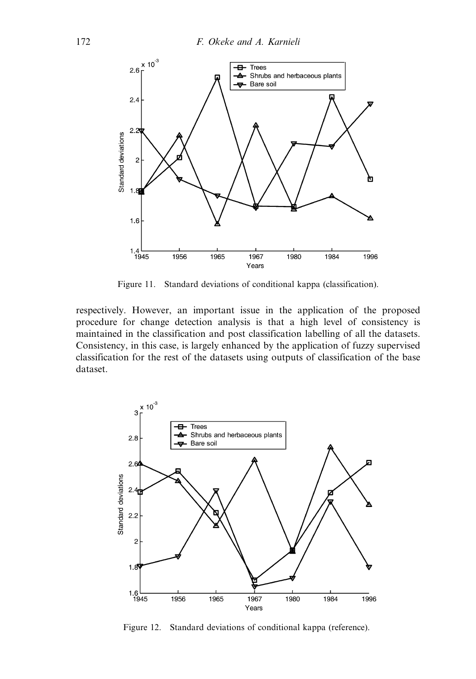

Figure 11. Standard deviations of conditional kappa (classification).

respectively. However, an important issue in the application of the proposed procedure for change detection analysis is that a high level of consistency is maintained in the classification and post classification labelling of all the datasets. Consistency, in this case, is largely enhanced by the application of fuzzy supervised classification for the rest of the datasets using outputs of classification of the base dataset.



Figure 12. Standard deviations of conditional kappa (reference).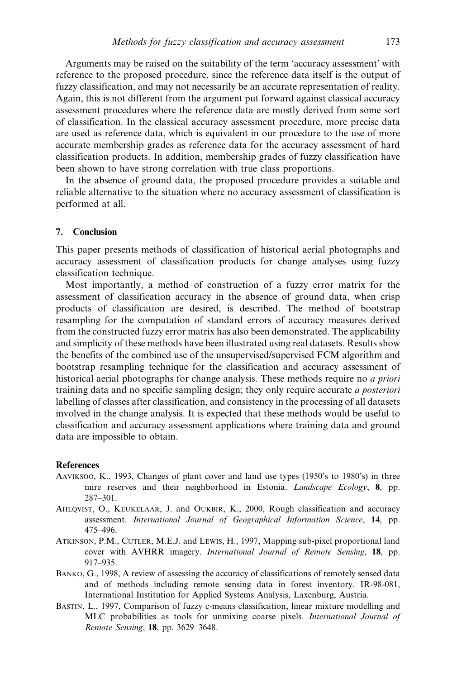Arguments may be raised on the suitability of the term 'accuracy assessment' with reference to the proposed procedure, since the reference data itself is the output of fuzzy classification, and may not necessarily be an accurate representation of reality. Again, this is not different from the argument put forward against classical accuracy assessment procedures where the reference data are mostly derived from some sort of classification. In the classical accuracy assessment procedure, more precise data are used as reference data, which is equivalent in our procedure to the use of more accurate membership grades as reference data for the accuracy assessment of hard classification products. In addition, membership grades of fuzzy classification have been shown to have strong correlation with true class proportions.

In the absence of ground data, the proposed procedure provides a suitable and reliable alternative to the situation where no accuracy assessment of classification is performed at all.

#### 7. Conclusion

This paper presents methods of classification of historical aerial photographs and accuracy assessment of classification products for change analyses using fuzzy classification technique.

Most importantly, a method of construction of a fuzzy error matrix for the assessment of classification accuracy in the absence of ground data, when crisp products of classification are desired, is described. The method of bootstrap resampling for the computation of standard errors of accuracy measures derived from the constructed fuzzy error matrix has also been demonstrated. The applicability and simplicity of these methods have been illustrated using real datasets. Results show the benefits of the combined use of the unsupervised/supervised FCM algorithm and bootstrap resampling technique for the classification and accuracy assessment of historical aerial photographs for change analysis. These methods require no a priori training data and no specific sampling design; they only require accurate a posteriori labelling of classes after classification, and consistency in the processing of all datasets involved in the change analysis. It is expected that these methods would be useful to classification and accuracy assessment applications where training data and ground data are impossible to obtain.

#### References

- AAVIKSOO, K., 1993, Changes of plant cover and land use types (1950's to 1980's) in three mire reserves and their neighborhood in Estonia. Landscape Ecology, 8, pp. 287–301.
- AHLQVIST, O., KEUKELAAR, J. and OUKBIR, K., 2000, Rough classification and accuracy assessment. International Journal of Geographical Information Science, 14, pp. 475–496.
- ATKINSON, P.M., CUTLER, M.E.J. and LEWIS, H., 1997, Mapping sub-pixel proportional land cover with AVHRR imagery. International Journal of Remote Sensing, 18, pp. 917–935.
- BANKO, G., 1998, A review of assessing the accuracy of classifications of remotely sensed data and of methods including remote sensing data in forest inventory. IR-98-081, International Institution for Applied Systems Analysis, Laxenburg, Austria.
- BASTIN, L., 1997, Comparison of fuzzy c-means classification, linear mixture modelling and MLC probabilities as tools for unmixing coarse pixels. International Journal of Remote Sensing, 18, pp. 3629–3648.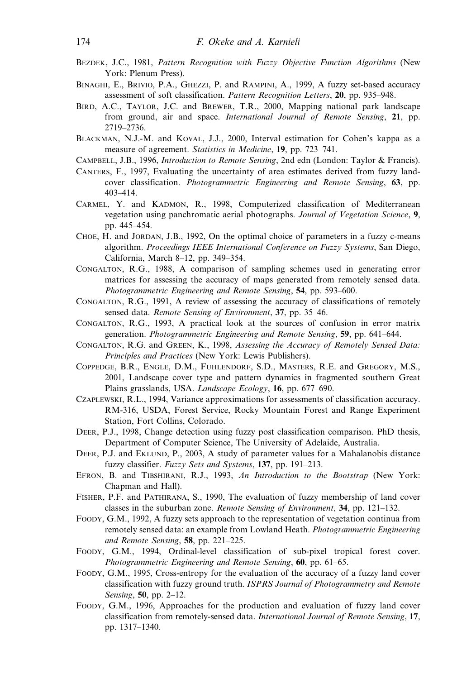- BEZDEK, J.C., 1981, Pattern Recognition with Fuzzy Objective Function Algorithms (New York: Plenum Press).
- BINAGHI, E., BRIVIO, P.A., GHEZZI, P. and RAMPINI, A., 1999, A fuzzy set-based accuracy assessment of soft classification. Pattern Recognition Letters, 20, pp. 935–948.
- BIRD, A.C., TAYLOR, J.C. and BREWER, T.R., 2000, Mapping national park landscape from ground, air and space. International Journal of Remote Sensing, 21, pp. 2719–2736.
- BLACKMAN, N.J.-M. and KOVAL, J.J., 2000, Interval estimation for Cohen's kappa as a measure of agreement. Statistics in Medicine, 19, pp. 723–741.
- CAMPBELL, J.B., 1996, Introduction to Remote Sensing, 2nd edn (London: Taylor & Francis).
- CANTERS, F., 1997, Evaluating the uncertainty of area estimates derived from fuzzy landcover classification. Photogrammetric Engineering and Remote Sensing, 63, pp. 403–414.
- CARMEL, Y. and KADMON, R., 1998, Computerized classification of Mediterranean vegetation using panchromatic aerial photographs. Journal of Vegetation Science, 9, pp. 445–454.
- CHOE, H. and JORDAN, J.B., 1992, On the optimal choice of parameters in a fuzzy c-means algorithm. Proceedings IEEE International Conference on Fuzzy Systems, San Diego, California, March 8–12, pp. 349–354.
- CONGALTON, R.G., 1988, A comparison of sampling schemes used in generating error matrices for assessing the accuracy of maps generated from remotely sensed data. Photogrammetric Engineering and Remote Sensing, 54, pp. 593–600.
- CONGALTON, R.G., 1991, A review of assessing the accuracy of classifications of remotely sensed data. *Remote Sensing of Environment*, 37, pp. 35–46.
- CONGALTON, R.G., 1993, A practical look at the sources of confusion in error matrix generation. Photogrammetric Engineering and Remote Sensing, 59, pp. 641–644.
- CONGALTON, R.G. and GREEN, K., 1998, Assessing the Accuracy of Remotely Sensed Data: Principles and Practices (New York: Lewis Publishers).
- COPPEDGE, B.R., ENGLE, D.M., FUHLENDORF, S.D., MASTERS, R.E. and GREGORY, M.S., 2001, Landscape cover type and pattern dynamics in fragmented southern Great Plains grasslands, USA. Landscape Ecology, 16, pp. 677–690.
- CZAPLEWSKI, R.L., 1994, Variance approximations for assessments of classification accuracy. RM-316, USDA, Forest Service, Rocky Mountain Forest and Range Experiment Station, Fort Collins, Colorado.
- DEER, P.J., 1998, Change detection using fuzzy post classification comparison. PhD thesis, Department of Computer Science, The University of Adelaide, Australia.
- DEER, P.J. and EKLUND, P., 2003, A study of parameter values for a Mahalanobis distance fuzzy classifier. Fuzzy Sets and Systems, 137, pp. 191-213.
- EFRON, B. and TIBSHIRANI, R.J., 1993, An Introduction to the Bootstrap (New York: Chapman and Hall).
- FISHER, P.F. and PATHIRANA, S., 1990, The evaluation of fuzzy membership of land cover classes in the suburban zone. Remote Sensing of Environment, 34, pp. 121–132.
- FOODY, G.M., 1992, A fuzzy sets approach to the representation of vegetation continua from remotely sensed data: an example from Lowland Heath. Photogrammetric Engineering and Remote Sensing, 58, pp. 221–225.
- FOODY, G.M., 1994, Ordinal-level classification of sub-pixel tropical forest cover. Photogrammetric Engineering and Remote Sensing, 60, pp. 61–65.
- FOODY, G.M., 1995, Cross-entropy for the evaluation of the accuracy of a fuzzy land cover classification with fuzzy ground truth. ISPRS Journal of Photogrammetry and Remote Sensing, 50, pp. 2–12.
- FOODY, G.M., 1996, Approaches for the production and evaluation of fuzzy land cover classification from remotely-sensed data. International Journal of Remote Sensing, 17, pp. 1317–1340.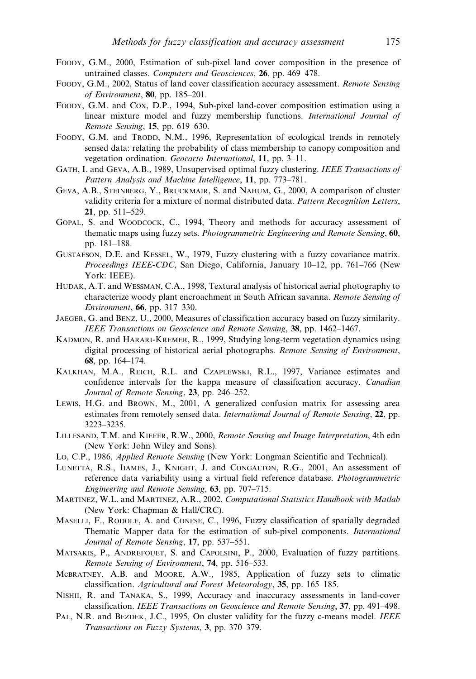- FOODY, G.M., 2000, Estimation of sub-pixel land cover composition in the presence of untrained classes. Computers and Geosciences, 26, pp. 469–478.
- FOODY, G.M., 2002, Status of land cover classification accuracy assessment. Remote Sensing of Environment, 80, pp. 185–201.
- FOODY, G.M. and COX, D.P., 1994, Sub-pixel land-cover composition estimation using a linear mixture model and fuzzy membership functions. International Journal of Remote Sensing, 15, pp. 619–630.
- FOODY, G.M. and TRODD, N.M., 1996, Representation of ecological trends in remotely sensed data: relating the probability of class membership to canopy composition and vegetation ordination. Geocarto International, 11, pp. 3–11.
- GATH, I. and GEVA, A.B., 1989, Unsupervised optimal fuzzy clustering. IEEE Transactions of Pattern Analysis and Machine Intelligence, 11, pp. 773–781.
- GEVA, A.B., STEINBERG, Y., BRUCKMAIR, S. and NAHUM, G., 2000, A comparison of cluster validity criteria for a mixture of normal distributed data. Pattern Recognition Letters, 21, pp. 511–529.
- GOPAL, S. and WOODCOCK, C., 1994, Theory and methods for accuracy assessment of thematic maps using fuzzy sets. Photogrammetric Engineering and Remote Sensing, 60, pp. 181–188.
- GUSTAFSON, D.E. and KESSEL, W., 1979, Fuzzy clustering with a fuzzy covariance matrix. Proceedings IEEE-CDC, San Diego, California, January 10–12, pp. 761–766 (New York: IEEE).
- HUDAK, A.T. and WESSMAN, C.A., 1998, Textural analysis of historical aerial photography to characterize woody plant encroachment in South African savanna. Remote Sensing of Environment, 66, pp. 317–330.
- JAEGER, G. and BENZ, U., 2000, Measures of classification accuracy based on fuzzy similarity. IEEE Transactions on Geoscience and Remote Sensing, 38, pp. 1462–1467.
- KADMON, R. and HARARI-KREMER, R., 1999, Studying long-term vegetation dynamics using digital processing of historical aerial photographs. Remote Sensing of Environment, 68, pp. 164–174.
- KALKHAN, M.A., REICH, R.L. and CZAPLEWSKI, R.L., 1997, Variance estimates and confidence intervals for the kappa measure of classification accuracy. Canadian Journal of Remote Sensing, 23, pp. 246–252.
- LEWIS, H.G. and BROWN, M., 2001, A generalized confusion matrix for assessing area estimates from remotely sensed data. International Journal of Remote Sensing, 22, pp. 3223–3235.
- LILLESAND, T.M. and KIEFER, R.W., 2000, Remote Sensing and Image Interpretation, 4th edn (New York: John Wiley and Sons).
- LO, C.P., 1986, Applied Remote Sensing (New York: Longman Scientific and Technical).
- LUNETTA, R.S., IIAMES, J., KNIGHT, J. and CONGALTON, R.G., 2001, An assessment of reference data variability using a virtual field reference database. Photogrammetric Engineering and Remote Sensing, 63, pp. 707–715.
- MARTINEZ, W.L. and MARTINEZ, A.R., 2002, Computational Statistics Handbook with Matlab (New York: Chapman & Hall/CRC).
- MASELLI, F., RODOLF, A. and CONESE, C., 1996, Fuzzy classification of spatially degraded Thematic Mapper data for the estimation of sub-pixel components. International Journal of Remote Sensing, 17, pp. 537–551.
- MATSAKIS, P., ANDREFOUET, S. and CAPOLSINI, P., 2000, Evaluation of fuzzy partitions. Remote Sensing of Environment, 74, pp. 516–533.
- McBRATNEY, A.B. and MOORE, A.W., 1985, Application of fuzzy sets to climatic classification. Agricultural and Forest Meteorology, 35, pp. 165–185.
- NISHII, R. and TANAKA, S., 1999, Accuracy and inaccuracy assessments in land-cover classification. IEEE Transactions on Geoscience and Remote Sensing, 37, pp. 491–498.
- PAL, N.R. and BEZDEK, J.C., 1995, On cluster validity for the fuzzy c-means model. IEEE Transactions on Fuzzy Systems, 3, pp. 370–379.